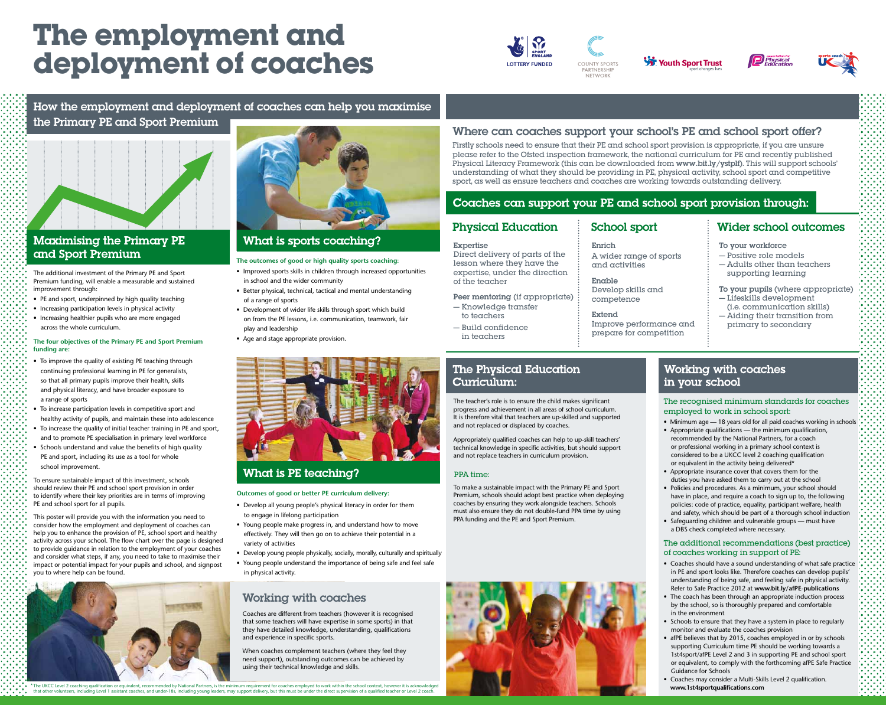\* The UKCC Level 2 coaching qualification or equivalent, recommended by National Partners, is the minimum requirement for coaches employed to work within the school context, however it is acknowledged that other volunteers, including Level 1 assistant coaches, and under-18s, including young leaders, may support delivery, but this must be under the direct supervision of a qualified teacher or Level 2 coach.









## How the employment and deployment of coaches can help you maximise the Primary PE and Sport Premium



## **Maximising the Primary PE** and Sport Premium

# **The employment and deployment of coaches**



#### **The outcomes of good or high quality sports coaching:**

- Improved sports skills in children through increased opportunities in school and the wider community
- Better physical, technical, tactical and mental understanding of a range of sports
- Development of wider life skills through sport which build on from the PE lessons, i.e. communication, teamwork, fair play and leadership
- Age and stage appropriate provision.



## **What is PE teaching?**

#### **Outcomes of good or better PE curriculum delivery:**

- Develop all young people's physical literacy in order for them to engage in lifelong participation
- Young people make progress in, and understand how to move effectively. They will then go on to achieve their potential in a variety of activities
- Develop young people physically, socially, morally, culturally and spiritually
- Young people understand the importance of being safe and feel safe in physical activity.

This poster will provide you with the information you need to consider how the employment and deployment of coaches can help you to enhance the provision of PE, school sport and healthy activity across your school. The flow chart over the page is designed to provide guidance in relation to the employment of your coaches and consider what steps, if any, you need to take to maximise their impact or potential impact for your pupils and school, and signpost ou to where help can be found.





## What is sports coaching?

The additional investment of the Primary PE and Sport Premium funding, will enable a measurable and sustained improvement through:

- PE and sport, underpinned by high quality teaching
- Increasing participation levels in physical activity
- Increasing healthier pupils who are more engaged across the whole curriculum.

#### **The four objectives of the Primary PE and Sport Premium funding are:**

- To improve the quality of existing PE teaching through continuing professional learning in PE for generalists, so that all primary pupils improve their health, skills and physical literacy, and have broader exposure to a range of sports
- To increase participation levels in competitive sport and healthy activity of pupils, and maintain these into adolescence
- To increase the quality of initial teacher training in PE and sport, and to promote PE specialisation in primary level workforce
- Schools understand and value the benefits of high quality PE and sport, including its use as a tool for whole school improvement.

To ensure sustainable impact of this investment, schools should review their PE and school sport provision in order to identify where their key priorities are in terms of improving PE and school sport for all pupils.

- Minimum age 18 years old for all paid coaches working in schools • Appropriate qualifications — the minimum qualification,
- recommended by the National Partners, for a coach or professional working in a primary school context is considered to be a UKCC level 2 coaching qualification or equivalent in the activity being delivered\*
- Appropriate insurance cover that covers them for the duties you have asked them to carry out at the school
- Policies and procedures. As a minimum, your school should have in place, and require a coach to sign up to, the following policies: code of practice, equality, participant welfare, health and safety, which should be part of a thorough school induction
- Safeguarding children and vulnerable groups must have a DBS check completed where necessary.

## Working with coaches

Coaches are different from teachers (however it is recognised that some teachers will have expertise in some sports) in that they have detailed knowledge, understanding, qualifications and experience in specific sports.

When coaches complement teachers (where they feel they need support), outstanding outcomes can be achieved by using their technical knowledge and skills.

## Where can coaches support your school's PE and school sport offer?

Firstly schools need to ensure that their PE and school sport provision is appropriate, if you are unsure please refer to the Ofsted inspection framework, the national curriculum for PE and recently published Physical Literacy Framework (this can be downloaded from www.bit.ly/ystplf). This will support schools' understanding of what they should be providing in PE, physical activity, school sport and competitive sport, as well as ensure teachers and coaches are working towards outstanding delivery.

## Coaches can support your PE and school sport provision through:

## Physical Education

#### Expertise

Direct delivery of parts of the lesson where they have the expertise, under the direction of the teacher

Peer mentoring (if appropriate)

- Knowledge transfer to teachers
- Build confidence in teachers

## **The Physical Education** Curriculum:

## School sport

#### Enrich

A wider range of sports and activities

#### Enable

Develop skills and competence

#### Extend

Improve performance and prepare for competition

## Wider school outcomes

To your workforce

- Positive role models
- Adults other than teachers supporting learning
- To your pupils (where appropriate) — Lifeskills development
- (i.e. communication skills) — Aiding their transition from
- primary to secondary

## **Working with coaches** in your school

The teacher's role is to ensure the child makes significant progress and achievement in all areas of school curriculum. It is therefore vital that teachers are up-skilled and supported and not replaced or displaced by coaches.

Appropriately qualified coaches can help to up-skill teachers' technical knowledge in specific activities, but should support and not replace teachers in curriculum provision.

### PPA time:

To make a sustainable impact with the Primary PE and Sport Premium, schools should adopt best practice when deploying coaches by ensuring they work alongside teachers. Schools must also ensure they do not double-fund PPA time by using PPA funding and the PE and Sport Premium.



#### The recognised minimum standards for coaches employed to work in school sport:

#### The additional recommendations (best practice) of coaches working in support of PE:

- Coaches should have a sound understanding of what safe practice in PE and sport looks like. Therefore coaches can develop pupils' understanding of being safe, and feeling safe in physical activity. Refer to Safe Practice 2012 at **www.bit.ly/afPE-publications**
- The coach has been through an appropriate induction process by the school, so is thoroughly prepared and comfortable in the environment
- Schools to ensure that they have a system in place to regularly monitor and evaluate the coaches provision
- afPE believes that by 2015, coaches employed in or by schools supporting Curriculum time PE should be working towards a 1st4sport/afPE Level 2 and 3 in supporting PE and school sport or equivalent, to comply with the forthcoming afPE Safe Practice Guidance for Schools
- Coaches may consider a Multi-Skills Level 2 qualification. **www.1st4sportqualifications.com**